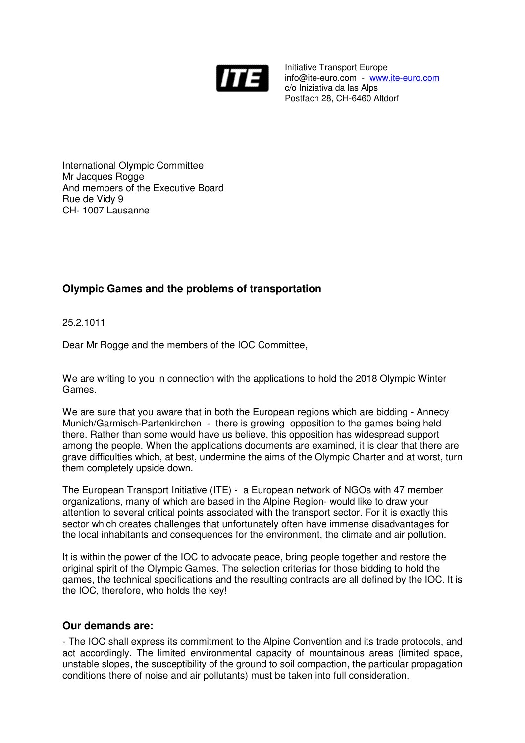

Initiative Transport Europe info@ite-euro.com - www.ite-euro.com c/o Iniziativa da las Alps Postfach 28, CH-6460 Altdorf

International Olympic Committee Mr Jacques Rogge And members of the Executive Board Rue de Vidy 9 CH- 1007 Lausanne

## **Olympic Games and the problems of transportation**

25.2.1011

Dear Mr Rogge and the members of the IOC Committee,

We are writing to you in connection with the applications to hold the 2018 Olympic Winter Games.

We are sure that you aware that in both the European regions which are bidding - Annecy Munich/Garmisch-Partenkirchen - there is growing opposition to the games being held there. Rather than some would have us believe, this opposition has widespread support among the people. When the applications documents are examined, it is clear that there are grave difficulties which, at best, undermine the aims of the Olympic Charter and at worst, turn them completely upside down.

The European Transport Initiative (ITE) - a European network of NGOs with 47 member organizations, many of which are based in the Alpine Region- would like to draw your attention to several critical points associated with the transport sector. For it is exactly this sector which creates challenges that unfortunately often have immense disadvantages for the local inhabitants and consequences for the environment, the climate and air pollution.

It is within the power of the IOC to advocate peace, bring people together and restore the original spirit of the Olympic Games. The selection criterias for those bidding to hold the games, the technical specifications and the resulting contracts are all defined by the IOC. It is the IOC, therefore, who holds the key!

## **Our demands are:**

- The IOC shall express its commitment to the Alpine Convention and its trade protocols, and act accordingly. The limited environmental capacity of mountainous areas (limited space, unstable slopes, the susceptibility of the ground to soil compaction, the particular propagation conditions there of noise and air pollutants) must be taken into full consideration.